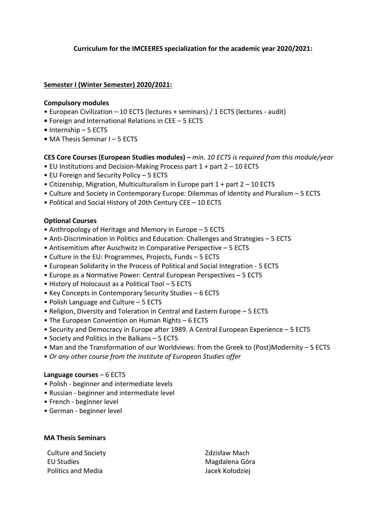# **Curriculum for the IMCEERES specialization for the academic year 2020/2021:**

# **Semester I (Winter Semester) 2020/2021:**

## **Compulsory modules**

- European Civilization 10 ECTS (lectures + seminars) / 1 ECTS (lectures audit)
- **•** Foreign and International Relations in CEE *–* 5 ECTS
- **•** Internship 5 ECTS
- **•** MA Thesis Seminar I 5 ECTS

## **CES Core Courses (European Studies modules) –** *min. 10 ECTS is required from this module/year*

- EU Institutions and Decision-Making Process part 1 + part 2 10 ECTS
- EU Foreign and Security Policy 5 ECTS
- Citizenship, Migration, Multiculturalism in Europe part 1 + part 2 10 ECTS
- Culture and Society in Contemporary Europe: Dilemmas of Identity and Pluralism 5 ECTS
- Political and Social History of 20th Century CEE 10 ECTS

## **Optional Courses**

- Anthropology of Heritage and Memory in Europe 5 ECTS
- Anti-Discrimination in Politics and Education: Challenges and Strategies 5 ECTS
- Antisemitism after Auschwitz in Comparative Perspective 5 ECTS
- Culture in the EU: Programmes, Projects, Funds 5 ECTS
- European Solidarity in the Process of Political and Social Integration 5 ECTS
- Europe as a Normative Power: Central European Perspectives 5 ECTS
- History of Holocaust as a Political Tool 5 ECTS
- Key Concepts in Contemporary Security Studies 6 ECTS
- Polish Language and Culture 5 ECTS
- Religion, Diversity and Toleration in Central and Eastern Europe 5 ECTS
- The European Convention on Human Rights 6 ECTS
- Security and Democracy in Europe after 1989. A Central European Experience 5 ECTS
- Society and Politics in the Balkans 5 ECTS
- Man and the Transformation of our Worldviews: from the Greek to (Post)Modernity 5 ECTS
- *Or any other course from the Institute of European Studies offer*

#### **Language courses** – 6 ECTS

- Polish beginner and intermediate levels
- Russian beginner and intermediate level
- French beginner level
- German beginner level

#### **MA Thesis Seminars**

Culture and Society **Culture and Society Zdzisław Mach** EU Studies **Magdalena Góra** Magdalena Góra Politics and Media **Jacek Kołodziej**